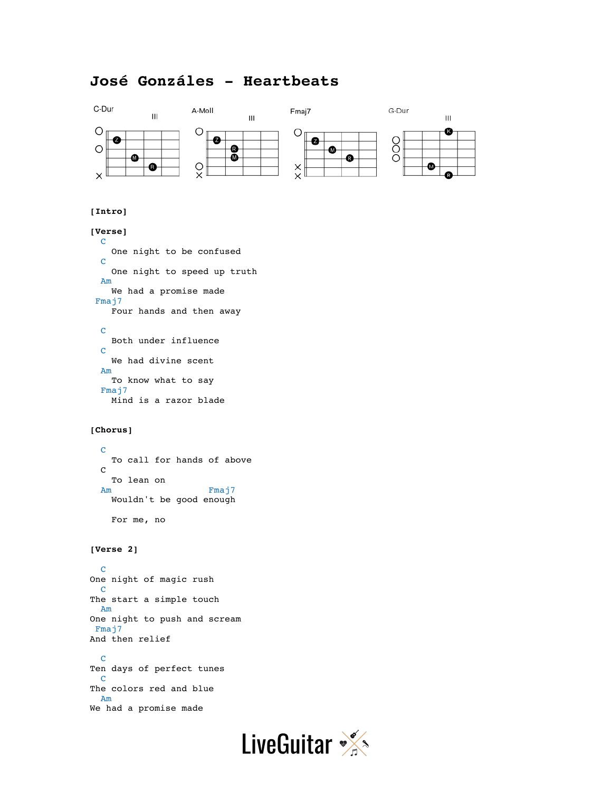# **José Gonzáles - Heartbeats**



## **[Intro]**

## **[Verse]**

```
 C 
    One night to be confused
  C
    One night to speed up truth
 Am
    We had a promise made
Fmaj7
    Four hands and then away
```

```
 C
   Both under influence
 C
   We had divine scent
 Am 
   To know what to say
 Fmaj7
   Mind is a razor blade
```
### **[Chorus]**

```
 C
  To call for hands of above
 C
  To lean on
Am Fmaj7
  Wouldn't be good enough
  For me, no
```
#### **[Verse 2]**

 C One night of magic rush C The start a simple touch Am One night to push and scream Fmaj7 And then relief

 C Ten days of perfect tunes C The colors red and blue Am We had a promise made